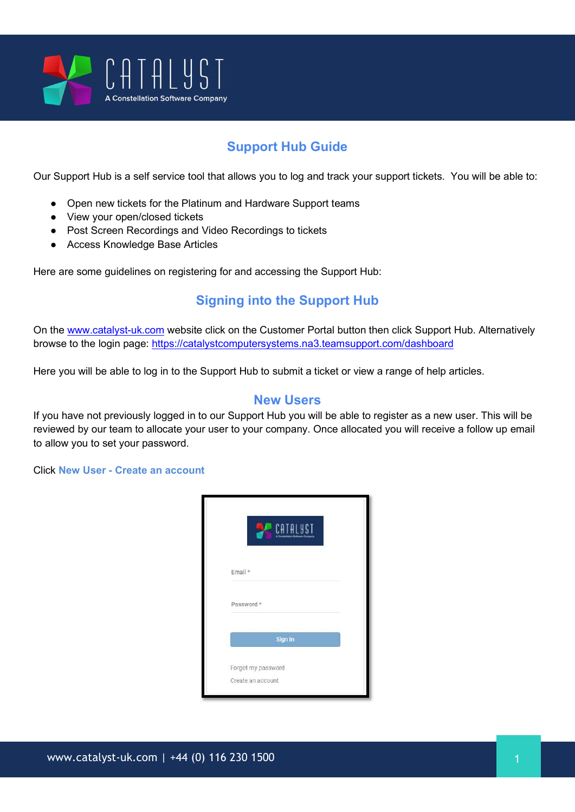

# Support Hub Guide

Our Support Hub is a self service tool that allows you to log and track your support tickets. You will be able to:

- Open new tickets for the Platinum and Hardware Support teams
- View your open/closed tickets
- Post Screen Recordings and Video Recordings to tickets
- Access Knowledge Base Articles

Here are some guidelines on registering for and accessing the Support Hub:

### Signing into the Support Hub

On the www.catalyst-uk.com website click on the Customer Portal button then click Support Hub. Alternatively browse to the login page: https://catalystcomputersystems.na3.teamsupport.com/dashboard

Here you will be able to log in to the Support Hub to submit a ticket or view a range of help articles.

#### New Users

If you have not previously logged in to our Support Hub you will be able to register as a new user. This will be reviewed by our team to allocate your user to your company. Once allocated you will receive a follow up email to allow you to set your password.

Click New User - Create an account

|                                         | CATALYST |  |
|-----------------------------------------|----------|--|
| Email *                                 |          |  |
| Password *                              |          |  |
|                                         | Sign In  |  |
| Forgot my password<br>Create an account |          |  |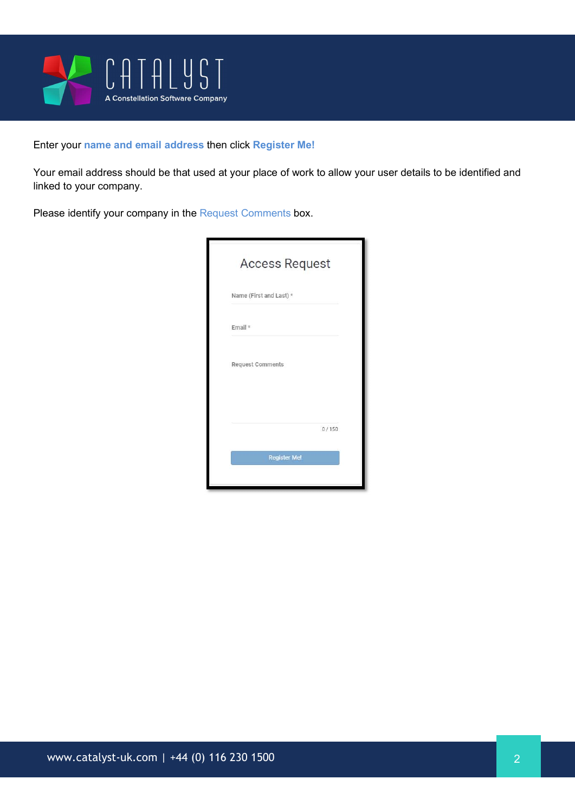

#### Enter your name and email address then click Register Me!

Your email address should be that used at your place of work to allow your user details to be identified and linked to your company.

Please identify your company in the Request Comments box.

| <b>Access Request</b>   |       |
|-------------------------|-------|
| Name (First and Last) * |       |
| Email $*$               |       |
| <b>Request Comments</b> |       |
|                         | 0/150 |
| <b>Register Me!</b>     |       |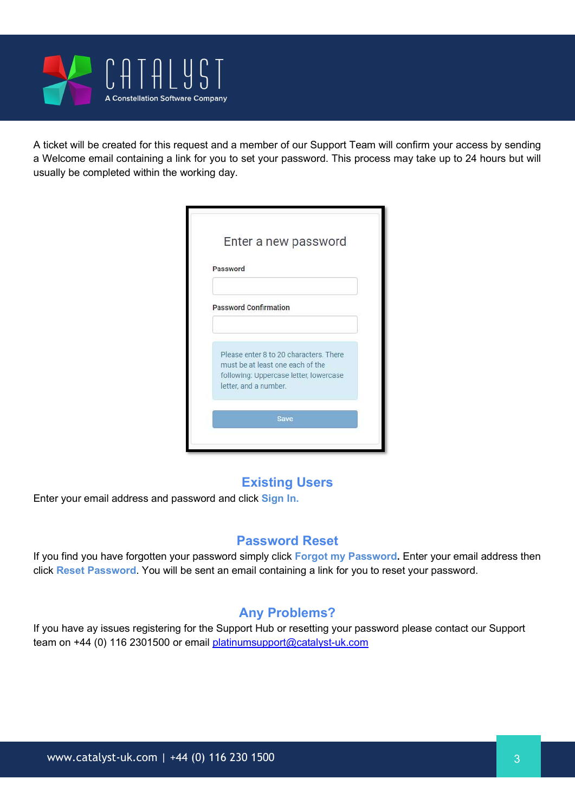

A ticket will be created for this request and a member of our Support Team will confirm your access by sending a Welcome email containing a link for you to set your password. This process may take up to 24 hours but will usually be completed within the working day.

| Password                                                                   |  |
|----------------------------------------------------------------------------|--|
| <b>Password Confirmation</b>                                               |  |
| Please enter 8 to 20 characters. There<br>must be at least one each of the |  |
| following: Uppercase letter, lowercase<br>letter, and a number.            |  |

### Existing Users

Enter your email address and password and click Sign In.

### Password Reset

If you find you have forgotten your password simply click Forgot my Password. Enter your email address then click Reset Password. You will be sent an email containing a link for you to reset your password.

### Any Problems?

If you have ay issues registering for the Support Hub or resetting your password please contact our Support team on +44 (0) 116 2301500 or email platinumsupport@catalyst-uk.com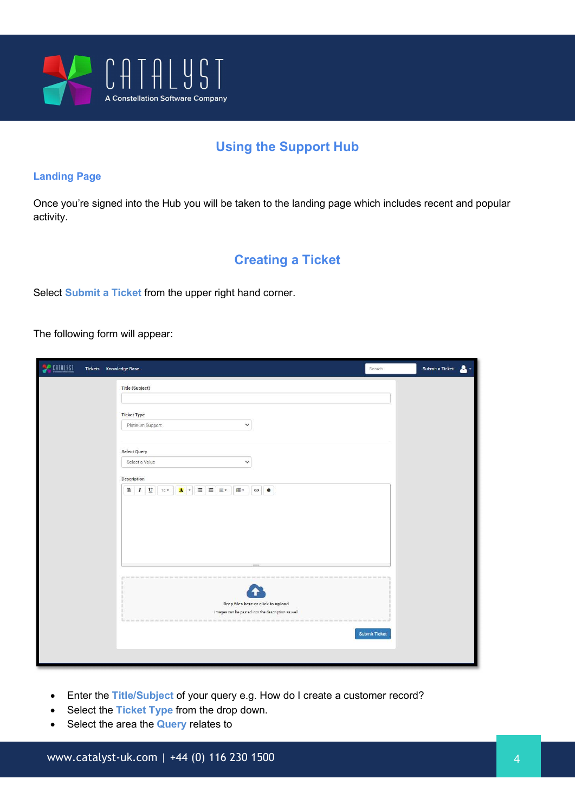

# Using the Support Hub

#### Landing Page

Once you're signed into the Hub you will be taken to the landing page which includes recent and popular activity.

### Creating a Ticket

Select Submit a Ticket from the upper right hand corner.

The following form will appear:

| <b>DE CATALIST</b><br>Tickets Knowledge Base |                                                                                                                                                                                                                                | Search        | Submit a Ticket<br>$\bullet$ |
|----------------------------------------------|--------------------------------------------------------------------------------------------------------------------------------------------------------------------------------------------------------------------------------|---------------|------------------------------|
|                                              | Title (Subject)                                                                                                                                                                                                                |               |                              |
|                                              | <b>Ticket Type</b>                                                                                                                                                                                                             |               |                              |
|                                              | $\checkmark$<br>Platinum Support                                                                                                                                                                                               |               |                              |
|                                              | <b>Select Query</b>                                                                                                                                                                                                            |               |                              |
|                                              | Select a Value<br>$\checkmark$                                                                                                                                                                                                 |               |                              |
|                                              | Description                                                                                                                                                                                                                    |               |                              |
|                                              | $\mathbf U$<br>$\equiv$ $\equiv$ $\equiv$<br>$\, {\bf B}$<br>$\mathbf{A}$ .<br>$\mathop{\boxplus}$ .<br>$\bullet$<br>$\overline{I}$<br>$14 -$                                                                                  |               |                              |
|                                              | an test that the met her met her met her met her wet her wet her wet her met her met her met her met her met her met her met her met her met her met her met her met her met her met her met her met her met her met her met h |               |                              |
|                                              |                                                                                                                                                                                                                                |               |                              |
|                                              | Drop files here or click to upload<br>Images can be pasted into the description as well                                                                                                                                        |               |                              |
|                                              |                                                                                                                                                                                                                                |               |                              |
|                                              |                                                                                                                                                                                                                                | Submit Ticket |                              |
|                                              |                                                                                                                                                                                                                                |               |                              |

- Enter the Title/Subject of your query e.g. How do I create a customer record?
- Select the Ticket Type from the drop down.
- Select the area the **Query** relates to

www.catalyst-uk.com | +44 (0) 116 230 1500 4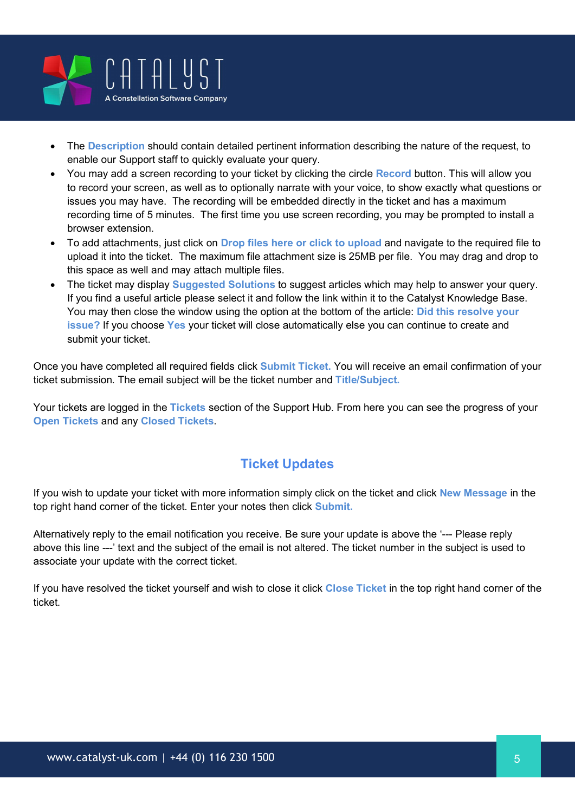

- The Description should contain detailed pertinent information describing the nature of the request, to enable our Support staff to quickly evaluate your query.
- You may add a screen recording to your ticket by clicking the circle Record button. This will allow you to record your screen, as well as to optionally narrate with your voice, to show exactly what questions or issues you may have. The recording will be embedded directly in the ticket and has a maximum recording time of 5 minutes. The first time you use screen recording, you may be prompted to install a browser extension.
- To add attachments, just click on Drop files here or click to upload and navigate to the required file to upload it into the ticket. The maximum file attachment size is 25MB per file. You may drag and drop to this space as well and may attach multiple files.
- The ticket may display **Suggested Solutions** to suggest articles which may help to answer your query. If you find a useful article please select it and follow the link within it to the Catalyst Knowledge Base. You may then close the window using the option at the bottom of the article: **Did this resolve your** issue? If you choose Yes your ticket will close automatically else you can continue to create and submit your ticket.

Once you have completed all required fields click Submit Ticket. You will receive an email confirmation of your ticket submission. The email subject will be the ticket number and Title/Subject.

Your tickets are logged in the Tickets section of the Support Hub. From here you can see the progress of your Open Tickets and any Closed Tickets.

# Ticket Updates

If you wish to update your ticket with more information simply click on the ticket and click New Message in the top right hand corner of the ticket. Enter your notes then click Submit.

Alternatively reply to the email notification you receive. Be sure your update is above the '--- Please reply above this line ---' text and the subject of the email is not altered. The ticket number in the subject is used to associate your update with the correct ticket.

If you have resolved the ticket yourself and wish to close it click Close Ticket in the top right hand corner of the ticket.